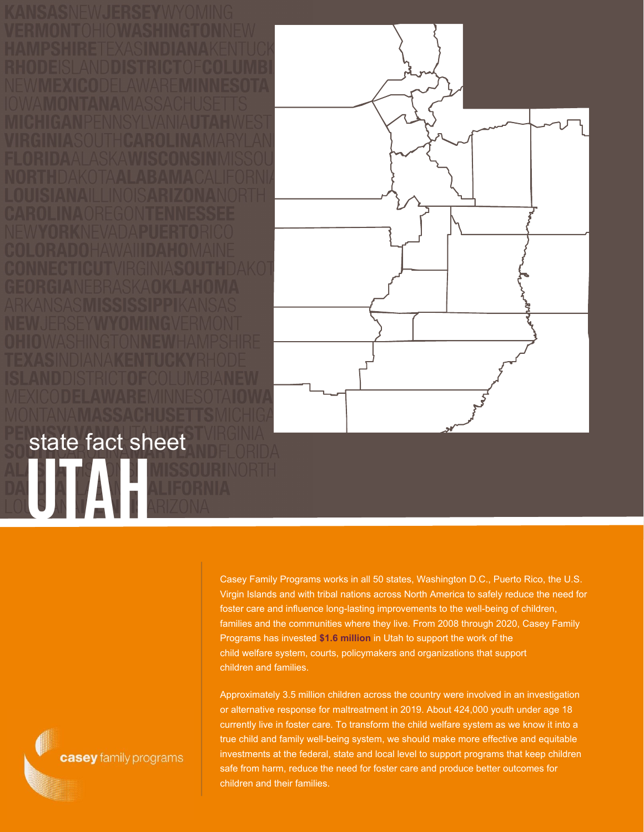

## **UTAH** state fact sheet

Casey Family Programs works in all 50 states, Washington D.C., Puerto Rico, the U.S. Virgin Islands and with tribal nations across North America to safely reduce the need for foster care and influence long-lasting improvements to the well-being of children, families and the communities where they live. From 2008 through 2020, Casey Family Programs has invested **\$1.6 million** in Utah to support the work of the child welfare system, courts, policymakers and organizations that support children and families.

Approximately 3.5 million children across the country were involved in an investigation or alternative response for maltreatment in 2019. About 424,000 youth under age 18 currently live in foster care. To transform the child welfare system as we know it into a true child and family well-being system, we should make more effective and equitable investments at the federal, state and local level to support programs that keep children safe from harm, reduce the need for foster care and produce better outcomes for children and their families.

casey family programs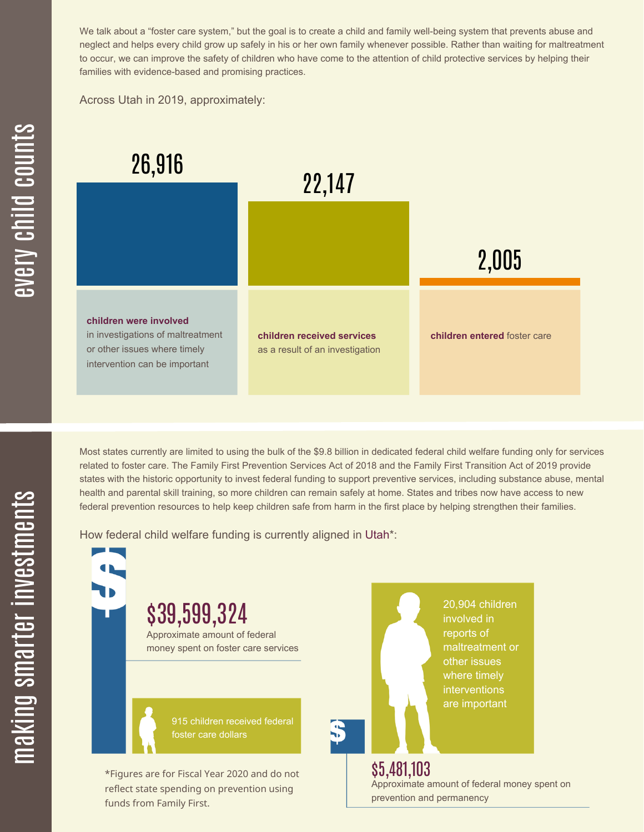We talk about a "foster care system," but the goal is to create a child and family well-being system that prevents abuse and neglect and helps every child grow up safely in his or her own family whenever possible. Rather than waiting for maltreatment to occur, we can improve the safety of children who have come to the attention of child protective services by helping their families with evidence-based and promising practices.

Across Utah in 2019, approximately:



Most states currently are limited to using the bulk of the \$9.8 billion in dedicated federal child welfare funding only for services related to foster care. The Family First Prevention Services Act of 2018 and the Family First Transition Act of 2019 provide states with the historic opportunity to invest federal funding to support preventive services, including substance abuse, mental health and parental skill training, so more children can remain safely at home. States and tribes now have access to new federal prevention resources to help keep children safe from harm in the first place by helping strengthen their families.

How federal child welfare funding is currently aligned in Utah\*:

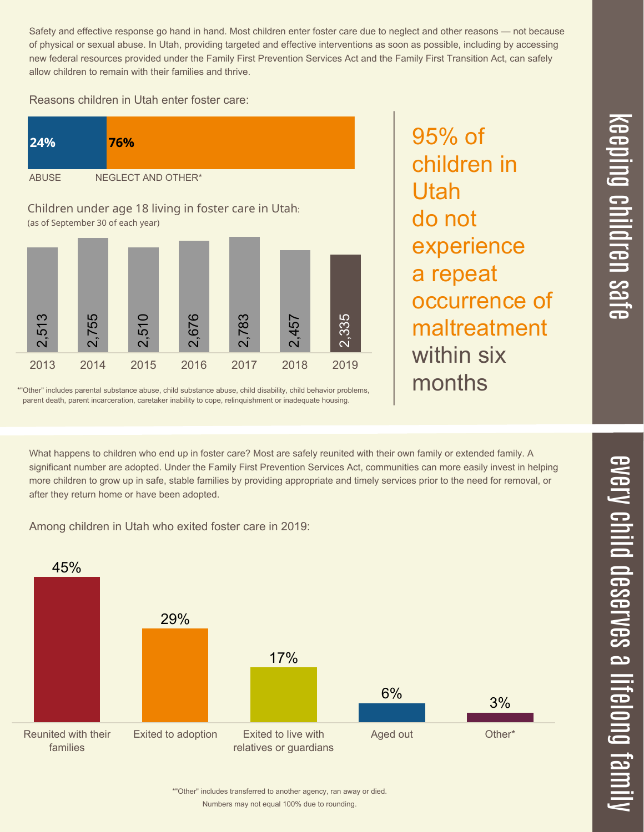$\overline{\phantom{1}}$  $\overline{\mathbf \Theta}$  $\overline{\mathbf{C}}$ <u>pin</u>  $\overline{\mathbf{C}}$  $\overline{\mathbf{C}}$  $\equiv$  $\overline{\mathbf{c}}$  $\overline{\phantom{0}}$  $\boldsymbol{\mathcal{O}}$ a  $\overrightarrow{\mathbf{e}}$ 

Safety and effective response go hand in hand. Most children enter foster care due to neglect and other reasons — not because of physical or sexual abuse. In Utah, providing targeted and effective interventions as soon as possible, including by accessing new federal resources provided under the Family First Prevention Services Act and the Family First Transition Act, can safely allow children to remain with their families and thrive.

95% of

Utah

do not

children in

experience

occurrence of

maltreatment

a repeat

within six

months

Reasons children in Utah enter foster care:



\*"Other" includes parental substance abuse, child substance abuse, child disability, child behavior problems, parent death, parent incarceration, caretaker inability to cope, relinquishment or inadequate housing.

What happens to children who end up in foster care? Most are safely reunited with their own family or extended family. A significant number are adopted. Under the Family First Prevention Services Act, communities can more easily invest in helping more children to grow up in safe, stable families by providing appropriate and timely services prior to the need for removal, or after they return home or have been adopted.

Among children in Utah who exited foster care in 2019: